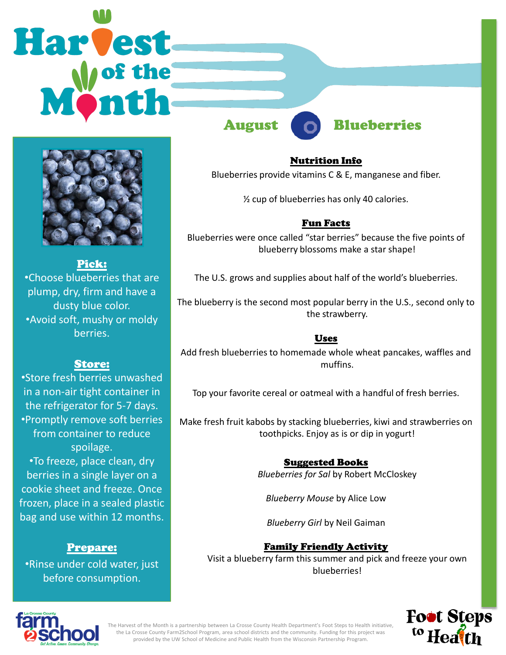# **Harvest**



Pick: •Choose blueberries that are plump, dry, firm and have a dusty blue color. •Avoid soft, mushy or moldy berries.

# Store:

•Store fresh berries unwashed in a non-air tight container in the refrigerator for 5-7 days. •Promptly remove soft berries from container to reduce spoilage. •To freeze, place clean, dry berries in a single layer on a cookie sheet and freeze. Once frozen, place in a sealed plastic bag and use within 12 months.

# Prepare:

•Rinse under cold water, just before consumption.

August Blueberries

### Nutrition Info

Blueberries provide vitamins C & E, manganese and fiber.

½ cup of blueberries has only 40 calories.

# Fun Facts

Blueberries were once called "star berries" because the five points of blueberry blossoms make a star shape!

The U.S. grows and supplies about half of the world's blueberries.

The blueberry is the second most popular berry in the U.S., second only to the strawberry.

# Uses

Add fresh blueberries to homemade whole wheat pancakes, waffles and muffins.

Top your favorite cereal or oatmeal with a handful of fresh berries.

Make fresh fruit kabobs by stacking blueberries, kiwi and strawberries on toothpicks. Enjoy as is or dip in yogurt!

# Suggested Books

*Blueberries for Sal* by Robert McCloskey

*Blueberry Mouse* by Alice Low

*Blueberry Girl* by Neil Gaiman

# Family Friendly Activity

Visit a blueberry farm this summer and pick and freeze your own blueberries!